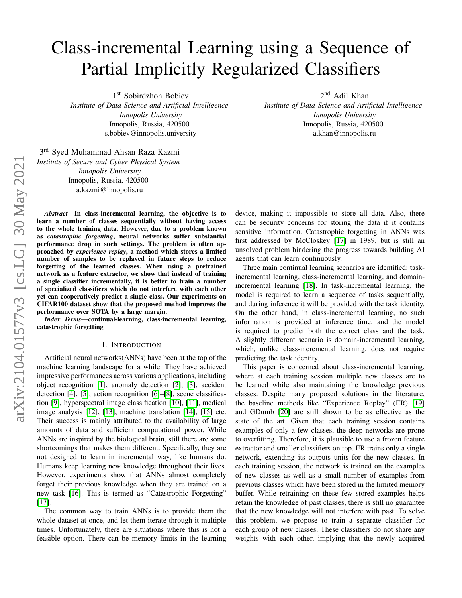# Class-incremental Learning using a Sequence of Partial Implicitly Regularized Classifiers

1 st Sobirdzhon Bobiev

*Institute of Data Science and Artificial Intelligence Innopolis University* Innopolis, Russia, 420500 s.bobiev@innopolis.university

2<sup>nd</sup> Adil Khan *Institute of Data Science and Artificial Intelligence Innopolis University* Innopolis, Russia, 420500 a.khan@innopolis.ru

3rd Syed Muhammad Ahsan Raza Kazmi *Institute of Secure and Cyber Physical System Innopolis University* Innopolis, Russia, 420500 a.kazmi@innopolis.ru

*Abstract*—In class-incremental learning, the objective is to learn a number of classes sequentially without having access to the whole training data. However, due to a problem known as *catastrophic forgetting*, neural networks suffer substantial performance drop in such settings. The problem is often approached by *experience replay*, a method which stores a limited number of samples to be replayed in future steps to reduce forgetting of the learned classes. When using a pretrained network as a feature extractor, we show that instead of training a single classifier incrementally, it is better to train a number of specialized classifiers which do not interfere with each other yet can cooperatively predict a single class. Our experiments on CIFAR100 dataset show that the proposed method improves the performance over SOTA by a large margin.

*Index Terms*—continual-learning, class-incremental learning, catastrophic forgetting

## I. INTRODUCTION

Artificial neural networks(ANNs) have been at the top of the machine learning landscape for a while. They have achieved impressive performances across various applications, including object recognition [\[1\]](#page-5-0), anomaly detection [\[2\]](#page-5-1), [\[3\]](#page-5-2), accident detection [\[4\]](#page-5-3), [\[5\]](#page-5-4), action recognition [\[6\]](#page-5-5)–[\[8\]](#page-5-6), scene classification [\[9\]](#page-5-7), hyperspectral image classification [\[10\]](#page-5-8), [\[11\]](#page-5-9), medical image analysis [\[12\]](#page-5-10), [\[13\]](#page-5-11), machine translation [\[14\]](#page-5-12), [\[15\]](#page-6-0) etc. Their success is mainly attributed to the availability of large amounts of data and sufficient computational power. While ANNs are inspired by the biological brain, still there are some shortcomings that makes them different. Specifically, they are not designed to learn in incremental way, like humans do. Humans keep learning new knowledge throughout their lives. However, experiments show that ANNs almost completely forget their previous knowledge when they are trained on a new task [\[16\]](#page-6-1). This is termed as "Catastrophic Forgetting" [\[17\]](#page-6-2).

The common way to train ANNs is to provide them the whole dataset at once, and let them iterate through it multiple times. Unfortunately, there are situations where this is not a feasible option. There can be memory limits in the learning device, making it impossible to store all data. Also, there can be security concerns for storing the data if it contains sensitive information. Catastrophic forgetting in ANNs was first addressed by McCloskey [\[17\]](#page-6-2) in 1989, but is still an unsolved problem hindering the progress towards building AI agents that can learn continuously.

Three main continual learning scenarios are identified: taskincremental learning, class-incremental learning, and domainincremental learning [\[18\]](#page-6-3). In task-incremental learning, the model is required to learn a sequence of tasks sequentially, and during inference it will be provided with the task identity. On the other hand, in class-incremental learning, no such information is provided at inference time, and the model is required to predict both the correct class and the task. A slightly different scenario is domain-incremental learning, which, unlike class-incremental learning, does not require predicting the task identity.

This paper is concerned about class-incremental learning, where at each training session multiple new classes are to be learned while also maintaining the knowledge previous classes. Despite many proposed solutions in the literature, the baseline methods like "Experience Replay" (ER) [\[19\]](#page-6-4) and GDumb [\[20\]](#page-6-5) are still shown to be as effective as the state of the art. Given that each training session contains examples of only a few classes, the deep networks are prone to overfitting. Therefore, it is plausible to use a frozen feature extractor and smaller classifiers on top. ER trains only a single network, extending its outputs units for the new classes. In each training session, the network is trained on the examples of new classes as well as a small number of examples from previous classes which have been stored in the limited memory buffer. While retraining on these few stored examples helps retain the knowledge of past classes, there is still no guarantee that the new knowledge will not interfere with past. To solve this problem, we propose to train a separate classifier for each group of new classes. These classifiers do not share any weights with each other, implying that the newly acquired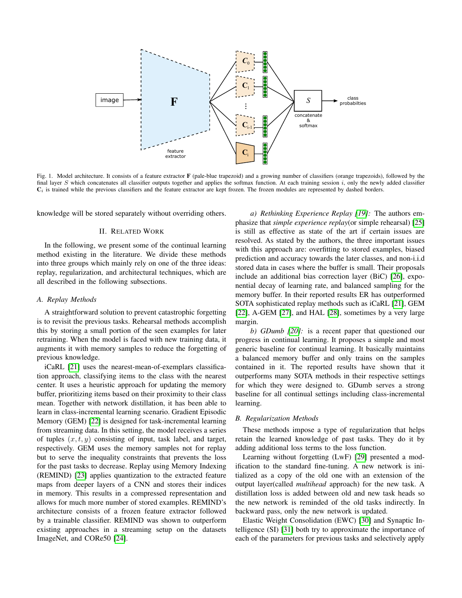

<span id="page-1-0"></span>Fig. 1. Model architecture. It consists of a feature extractor **F** (pale-blue trapezoid) and a growing number of classifiers (orange trapezoids), followed by the final layer  $S$  which concatenates all classifier outputs together and applies the softmax function. At each training session  $i$ , only the newly added classifier  $C_i$  is trained while the previous classifiers and the feature extractor are kept frozen. The frozen modules are represented by dashed borders.

knowledge will be stored separately without overriding others.

# II. RELATED WORK

In the following, we present some of the continual learning method existing in the literature. We divide these methods into three groups which mainly rely on one of the three ideas: replay, regularization, and architectural techniques, which are all described in the following subsections.

# *A. Replay Methods*

A straightforward solution to prevent catastrophic forgetting is to revisit the previous tasks. Rehearsal methods accomplish this by storing a small portion of the seen examples for later retraining. When the model is faced with new training data, it augments it with memory samples to reduce the forgetting of previous knowledge.

iCaRL [\[21\]](#page-6-6) uses the nearest-mean-of-exemplars classification approach, classifying items to the class with the nearest center. It uses a heuristic approach for updating the memory buffer, prioritizing items based on their proximity to their class mean. Together with network distillation, it has been able to learn in class-incremental learning scenario. Gradient Episodic Memory (GEM) [\[22\]](#page-6-7) is designed for task-incremental learning from streaming data. In this setting, the model receives a series of tuples  $(x, t, y)$  consisting of input, task label, and target, respectively. GEM uses the memory samples not for replay but to serve the inequality constraints that prevents the loss for the past tasks to decrease. Replay using Memory Indexing (REMIND) [\[23\]](#page-6-8) applies quantization to the extracted feature maps from deeper layers of a CNN and stores their indices in memory. This results in a compressed representation and allows for much more number of stored examples. REMIND's architecture consists of a frozen feature extractor followed by a trainable classifier. REMIND was shown to outperform existing approaches in a streaming setup on the datasets ImageNet, and CORe50 [\[24\]](#page-6-9).

*a) Rethinking Experience Replay [\[19\]](#page-6-4):* The authors emphasize that *simple experience replay*(or simple rehearsal) [\[25\]](#page-6-10) is still as effective as state of the art if certain issues are resolved. As stated by the authors, the three important issues with this approach are: overfitting to stored examples, biased prediction and accuracy towards the later classes, and non-i.i.d stored data in cases where the buffer is small. Their proposals include an additional bias correction layer (BiC) [\[26\]](#page-6-11), exponential decay of learning rate, and balanced sampling for the memory buffer. In their reported results ER has outperformed SOTA sophisticated replay methods such as iCaRL [\[21\]](#page-6-6), GEM [\[22\]](#page-6-7), A-GEM [\[27\]](#page-6-12), and HAL [\[28\]](#page-6-13), sometimes by a very large margin.

*b) GDumb [\[20\]](#page-6-5):* is a recent paper that questioned our progress in continual learning. It proposes a simple and most generic baseline for continual learning. It basically maintains a balanced memory buffer and only trains on the samples contained in it. The reported results have shown that it outperforms many SOTA methods in their respective settings for which they were designed to. GDumb serves a strong baseline for all continual settings including class-incremental learning.

# *B. Regularization Methods*

These methods impose a type of regularization that helps retain the learned knowledge of past tasks. They do it by adding additional loss terms to the loss function.

Learning without forgetting (LwF) [\[29\]](#page-6-14) presented a modification to the standard fine-tuning. A new network is initialized as a copy of the old one with an extension of the output layer(called *multihead* approach) for the new task. A distillation loss is added between old and new task heads so the new network is reminded of the old tasks indirectly. In backward pass, only the new network is updated.

Elastic Weight Consolidation (EWC) [\[30\]](#page-6-15) and Synaptic Intelligence (SI) [\[31\]](#page-6-16) both try to approximate the importance of each of the parameters for previous tasks and selectively apply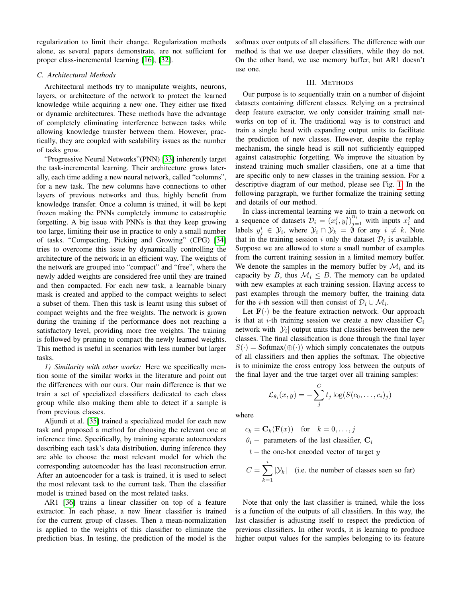regularization to limit their change. Regularization methods alone, as several papers demonstrate, are not sufficient for proper class-incremental learning [\[16\]](#page-6-1), [\[32\]](#page-6-17).

# *C. Architectural Methods*

Architectural methods try to manipulate weights, neurons, layers, or architecture of the network to protect the learned knowledge while acquiring a new one. They either use fixed or dynamic architectures. These methods have the advantage of completely eliminating interference between tasks while allowing knowledge transfer between them. However, practically, they are coupled with scalability issues as the number of tasks grow.

"Progressive Neural Networks"(PNN) [\[33\]](#page-6-18) inherently target the task-incremental learning. Their architecture grows laterally, each time adding a new neural network, called "columns", for a new task. The new columns have connections to other layers of previous networks and thus, highly benefit from knowledge transfer. Once a column is trained, it will be kept frozen making the PNNs completely immune to catastrophic forgetting. A big issue with PNNs is that they keep growing too large, limiting their use in practice to only a small number of tasks. "Compacting, Picking and Growing" (CPG) [\[34\]](#page-6-19) tries to overcome this issue by dynamically controlling the architecture of the network in an efficient way. The weights of the network are grouped into "compact" and "free", where the newly added weights are considered free until they are trained and then compacted. For each new task, a learnable binary mask is created and applied to the compact weights to select a subset of them. Then this task is learnt using this subset of compact weights and the free weights. The network is grown during the training if the performance does not reaching a satisfactory level, providing more free weights. The training is followed by pruning to compact the newly learned weights. This method is useful in scenarios with less number but larger tasks.

*1) Similarity with other works:* Here we specifically mention some of the similar works in the literature and point out the differences with our ours. Our main difference is that we train a set of specialized classifiers dedicated to each class group while also making them able to detect if a sample is from previous classes.

Aljundi et al. [\[35\]](#page-6-20) trained a specialized model for each new task and proposed a method for choosing the relevant one at inference time. Specifically, by training separate autoencoders describing each task's data distribution, during inference they are able to choose the most relevant model for which the corresponding autoencoder has the least reconstruction error. After an autoencoder for a task is trained, it is used to select the most relevant task to the current task. Then the classifier model is trained based on the most related tasks.

AR1 [\[36\]](#page-6-21) trains a linear classifier on top of a feature extractor. In each phase, a new linear classifier is trained for the current group of classes. Then a mean-normalization is applied to the weights of this classifier to eliminate the prediction bias. In testing, the prediction of the model is the

softmax over outputs of all classifiers. The difference with our method is that we use deeper classifiers, while they do not. On the other hand, we use memory buffer, but AR1 doesn't use one.

# III. METHODS

Our purpose is to sequentially train on a number of disjoint datasets containing different classes. Relying on a pretrained deep feature extractor, we only consider training small networks on top of it. The traditional way is to construct and train a single head with expanding output units to facilitate the prediction of new classes. However, despite the replay mechanism, the single head is still not sufficiently equipped against catastrophic forgetting. We improve the situation by instead training much smaller classifiers, one at a time that are specific only to new classes in the training session. For a descriptive diagram of our method, please see Fig. [1.](#page-1-0) In the following paragraph, we further formalize the training setting and details of our method.

In class-incremental learning we aim to train a network on a sequence of datasets  $\mathcal{D}_i = (x_i^j, y_i^j)_{j=1}^{n_i}$  with inputs  $x_i^j$  and labels  $y_j^i \in \mathcal{Y}_i$ , where  $\mathcal{Y}_i \cap \mathcal{Y}_k = \emptyset$  for any  $i \neq k$ . Note that in the training session i only the dataset  $\mathcal{D}_i$  is available. Suppose we are allowed to store a small number of examples from the current training session in a limited memory buffer. We denote the samples in the memory buffer by  $\mathcal{M}_i$  and its capacity by B, thus  $\mathcal{M}_i \leq B$ . The memory can be updated with new examples at each training session. Having access to past examples through the memory buffer, the training data for the *i*-th session will then consist of  $\mathcal{D}_i \cup \mathcal{M}_i$ .

Let  $F(\cdot)$  be the feature extraction network. Our approach is that at *i*-th training session we create a new classifier  $C_i$ network with  $|\mathcal{Y}_i|$  output units that classifies between the new classes. The final classification is done through the final layer  $S(\cdot)$  = Softmax( $\oplus$ (·)) which simply concatenates the outputs of all classifiers and then applies the softmax. The objective is to minimize the cross entropy loss between the outputs of the final layer and the true target over all training samples:

$$
\mathcal{L}_{\theta_i}(x, y) = -\sum_j^C t_j \log(S(c_0, \ldots, c_i)_j)
$$

where

$$
c_k = \mathbf{C}_k(\mathbf{F}(x)) \quad \text{for} \quad k = 0, \dots, j
$$
  
\n
$$
\theta_i - \text{parameters of the last classifier, } \mathbf{C}_i
$$
  
\n
$$
t - \text{the one-hot encoded vector of target } y
$$
  
\n
$$
C = \sum_{k=1}^i |\mathcal{Y}_k| \quad \text{(i.e. the number of classes seen so far)}
$$

Note that only the last classifier is trained, while the loss is a function of the outputs of all classifiers. In this way, the last classifier is adjusting itself to respect the prediction of previous classifiers. In other words, it is learning to produce higher output values for the samples belonging to its feature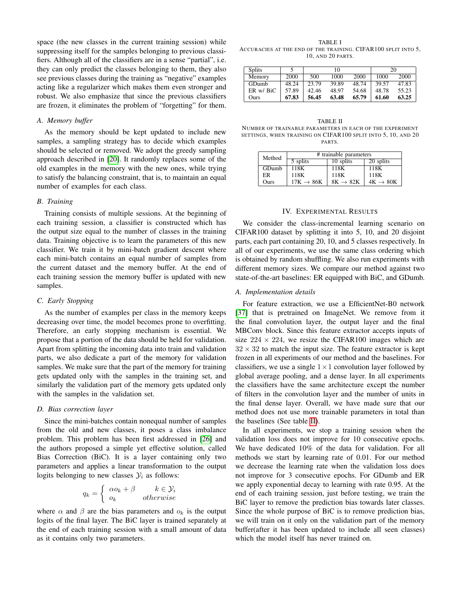space (the new classes in the current training session) while suppressing itself for the samples belonging to previous classifiers. Although all of the classifiers are in a sense "partial", i.e. they can only predict the classes belonging to them, they also see previous classes during the training as "negative" examples acting like a regularizer which makes them even stronger and robust. We also emphasize that since the previous classifiers are frozen, it eliminates the problem of "forgetting" for them.

# *A. Memory buffer*

As the memory should be kept updated to include new samples, a sampling strategy has to decide which examples should be selected or removed. We adopt the greedy sampling approach described in [\[20\]](#page-6-5). It randomly replaces some of the old examples in the memory with the new ones, while trying to satisfy the balancing constraint, that is, to maintain an equal number of examples for each class.

## *B. Training*

Training consists of multiple sessions. At the beginning of each training session, a classifier is constructed which has the output size equal to the number of classes in the training data. Training objective is to learn the parameters of this new classifier. We train it by mini-batch gradient descent where each mini-batch contains an equal number of samples from the current dataset and the memory buffer. At the end of each training session the memory buffer is updated with new samples.

# *C. Early Stopping*

As the number of examples per class in the memory keeps decreasing over time, the model becomes prone to overfitting. Therefore, an early stopping mechanism is essential. We propose that a portion of the data should be held for validation. Apart from splitting the incoming data into train and validation parts, we also dedicate a part of the memory for validation samples. We make sure that the part of the memory for training gets updated only with the samples in the training set, and similarly the validation part of the memory gets updated only with the samples in the validation set.

## *D. Bias correction layer*

Since the mini-batches contain nonequal number of samples from the old and new classes, it poses a class imbalance problem. This problem has been first addressed in [\[26\]](#page-6-11) and the authors proposed a simple yet effective solution, called Bias Correction (BiC). It is a layer containing only two parameters and applies a linear transformation to the output logits belonging to new classes  $\mathcal{Y}_i$  as follows:

$$
q_k = \begin{cases} \alpha o_k + \beta & k \in \mathcal{Y}_i \\ o_k & otherwise \end{cases}
$$

where  $\alpha$  and  $\beta$  are the bias parameters and  $o_k$  is the output logits of the final layer. The BiC layer is trained separately at the end of each training session with a small amount of data as it contains only two parameters.

<span id="page-3-1"></span>TABLE I ACCURACIES AT THE END OF THE TRAINING. CIFAR100 SPLIT INTO 5, 10, AND 20 PARTS.

| <b>Splits</b> |       | 10    |       | 20    |       |       |
|---------------|-------|-------|-------|-------|-------|-------|
| Memory        | 2000  | 500   | 1000  | 2000  | 1000  | 2000  |
| GDumb         | 48.24 | 23.79 | 39.89 | 48.74 | 39.57 | 47.83 |
| ER w/ BiC     | 57.89 | 42.46 | 48.97 | 54.68 | 48.78 | 55.23 |
| Ours          | 67.83 | 56.45 | 63.48 | 65.79 | 61.60 | 63.25 |

<span id="page-3-0"></span>TABLE II NUMBER OF TRAINABLE PARAMETERS IN EACH OF THE EXPERIMENT SETTINGS, WHEN TRAINING ON CIFAR100 SPLIT INTO 5, 10, AND 20 PARTS.

| Method | # trainable parameters |                      |                      |  |  |  |
|--------|------------------------|----------------------|----------------------|--|--|--|
|        | 5 splits               | 10 splits            | 20 splits            |  |  |  |
| GDumb  | 118K                   | 118K                 | 118K                 |  |  |  |
| ER     | 118K                   | 118K                 | 118K                 |  |  |  |
| Ours   | $17K \rightarrow 86K$  | $8K \rightarrow 82K$ | $4K \rightarrow 80K$ |  |  |  |

## IV. EXPERIMENTAL RESULTS

We consider the class-incremental learning scenario on CIFAR100 dataset by splitting it into 5, 10, and 20 disjoint parts, each part containing 20, 10, and 5 classes respectively. In all of our experiments, we use the same class ordering which is obtained by random shuffling. We also run experiments with different memory sizes. We compare our method against two state-of-the-art baselines: ER equipped with BiC, and GDumb.

#### *A. Implementation details*

For feature extraction, we use a EfficientNet-B0 network [\[37\]](#page-6-22) that is pretrained on ImageNet. We remove from it the final convolution layer, the output layer and the final MBConv block. Since this feature extractor accepts inputs of size  $224 \times 224$ , we resize the CIFAR100 images which are  $32 \times 32$  to match the input size. The feature extractor is kept frozen in all experiments of our method and the baselines. For classifiers, we use a single  $1 \times 1$  convolution layer followed by global average pooling, and a dense layer. In all experiments the classifiers have the same architecture except the number of filters in the convolution layer and the number of units in the final dense layer. Overall, we have made sure that our method does not use more trainable parameters in total than the baselines (See table [II\)](#page-3-0).

In all experiments, we stop a training session when the validation loss does not improve for 10 consecutive epochs. We have dedicated 10% of the data for validation. For all methods we start by learning rate of 0.01. For our method we decrease the learning rate when the validation loss does not improve for 3 consecutive epochs. For GDumb and ER we apply exponential decay to learning with rate 0.95. At the end of each training session, just before testing, we train the BiC layer to remove the prediction bias towards later classes. Since the whole purpose of BiC is to remove prediction bias, we will train on it only on the validation part of the memory buffer(after it has been updated to include all seen classes) which the model itself has never trained on.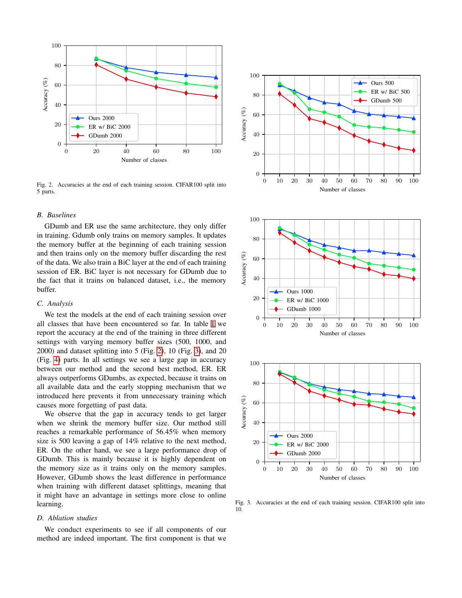

<span id="page-4-0"></span>Fig. 2. Accuracies at the end of each training session. CIFAR100 split into 5 parts.

## *B. Baselines*

GDumb and ER use the same architecture, they only differ in training. Gdumb only trains on memory samples. It updates the memory buffer at the beginning of each training session and then trains only on the memory buffer discarding the rest of the data. We also train a BiC layer at the end of each training session of ER. BiC layer is not necessary for GDumb due to the fact that it trains on balanced dataset, i.e., the memory buffer.

# *C. Analysis*

We test the models at the end of each training session over all classes that have been encountered so far. In table [I](#page-3-1) we report the accuracy at the end of the training in three different settings with varying memory buffer sizes (500, 1000, and 2000) and dataset splitting into 5 (Fig. [2\)](#page-4-0), 10 (Fig. [3\)](#page-4-1), and 20 (Fig. [4\)](#page-5-13) parts. In all settings we see a large gap in accuracy between our method and the second best method, ER. ER always outperforms GDumbs, as expected, because it trains on all available data and the early stopping mechanism that we introduced here prevents it from unnecessary training which causes more forgetting of past data.

We observe that the gap in accuracy tends to get larger when we shrink the memory buffer size. Our method still reaches a remarkable performance of 56.45% when memory size is 500 leaving a gap of 14% relative to the next method, ER. On the other hand, we see a large performance drop of GDumb. This is mainly because it is highly dependent on the memory size as it trains only on the memory samples. However, GDumb shows the least difference in performance when training with different dataset splittings, meaning that it might have an advantage in settings more close to online learning.

# *D. Ablation studies*

We conduct experiments to see if all components of our method are indeed important. The first component is that we





<span id="page-4-1"></span>Fig. 3. Accuracies at the end of each training session. CIFAR100 split into 10.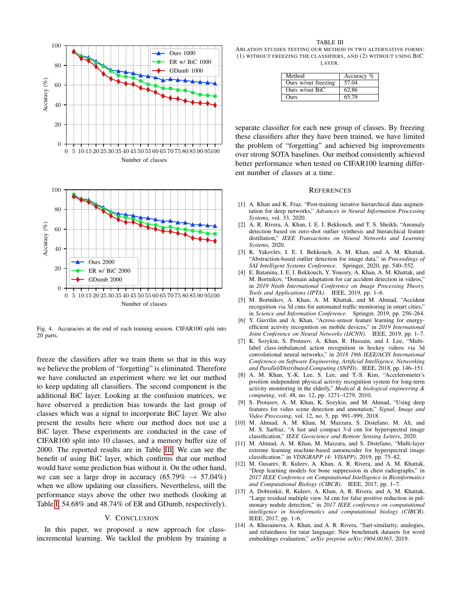



<span id="page-5-13"></span>Fig. 4. Accuracies at the end of each training session. CIFAR100 split into 20 parts.

freeze the classifiers after we train them so that in this way we believe the problem of "forgetting" is eliminated. Therefore we have conducted an experiment where we let our method to keep updating all classifiers. The second component is the additional BiC layer. Looking at the confusion matrices, we have observed a prediction bias towards the last group of classes which was a signal to incorporate BiC layer. We also present the results here where our method does not use a BiC layer. These experiments are conducted in the case of CIFAR100 split into 10 classes, and a memory buffer size of 2000. The reported results are in Table [III.](#page-5-14) We can see the benefit of using BiC layer, which confirms that our method would have some prediction bias without it. On the other hand, we can see a large drop in accuracy  $(65.79\% \rightarrow 57.04\%)$ when we allow updating our classifiers. Nevertheless, still the performance stays above the other two methods (looking at Table [I,](#page-3-1) 54.68% and 48.74% of ER and GDumb, respectively).

# V. CONCLUSION

In this paper, we proposed a new approach for classincremental learning. We tackled the problem by training a

<span id="page-5-14"></span>TABLE III ABLATION STUDIES TESTING OUR METHOD IN TWO ALTERNATIVE FORMS: (1) WITHOUT FREEZING THE CLASSIFIERS, AND (2) WITHOUT USING BIC LAYER.

| Method              | Accuracy % |
|---------------------|------------|
| Ours w/out freezing | 57.04      |
| Ours w/out BiC      | 62.86      |
| Ours                | 65.79      |

separate classifier for each new group of classes. By freezing these classifiers after they have been trained, we have limited the problem of "forgetting" and achieved big improvements over strong SOTA baselines. Our method consistently achieved better performance when tested on CIFAR100 learning different number of classes at a time.

## **REFERENCES**

- <span id="page-5-0"></span>[1] A. Khan and K. Fraz, "Post-training iterative hierarchical data augmentation for deep networks," *Advances in Neural Information Processing Systems*, vol. 33, 2020.
- <span id="page-5-1"></span>[2] A. R. Rivera, A. Khan, I. E. I. Bekkouch, and T. S. Sheikh, "Anomaly detection based on zero-shot outlier synthesis and hierarchical feature distillation," *IEEE Transactions on Neural Networks and Learning Systems*, 2020.
- <span id="page-5-2"></span>[3] K. Yakovlev, I. E. I. Bekkouch, A. M. Khan, and A. M. Khattak, "Abstraction-based outlier detection for image data," in *Proceedings of SAI Intelligent Systems Conference*. Springer, 2020, pp. 540–552.
- <span id="page-5-3"></span>[4] E. Batanina, I. E. I. Bekkouch, Y. Youssry, A. Khan, A. M. Khattak, and M. Bortnikov, "Domain adaptation for car accident detection in videos," in *2019 Ninth International Conference on Image Processing Theory, Tools and Applications (IPTA)*. IEEE, 2019, pp. 1–6.
- <span id="page-5-4"></span>[5] M. Bortnikov, A. Khan, A. M. Khattak, and M. Ahmad, "Accident recognition via 3d cnns for automated traffic monitoring in smart cities,' in *Science and Information Conference*. Springer, 2019, pp. 256–264.
- <span id="page-5-5"></span>[6] Y. Gavrilin and A. Khan, "Across-sensor feature learning for energyefficient activity recognition on mobile devices," in *2019 International Joint Conference on Neural Networks (IJCNN)*. IEEE, 2019, pp. 1–7.
- [7] K. Sozykin, S. Protasov, A. Khan, R. Hussain, and J. Lee, "Multilabel class-imbalanced action recognition in hockey videos via 3d convolutional neural networks," in *2018 19th IEEE/ACIS International Conference on Software Engineering, Artificial Intelligence, Networking and Parallel/Distributed Computing (SNPD)*. IEEE, 2018, pp. 146–151.
- <span id="page-5-6"></span>[8] A. M. Khan, Y.-K. Lee, S. Lee, and T.-S. Kim, "Accelerometer's position independent physical activity recognition system for long-term activity monitoring in the elderly," *Medical & biological engineering & computing*, vol. 48, no. 12, pp. 1271–1279, 2010.
- <span id="page-5-7"></span>[9] S. Protasov, A. M. Khan, K. Sozykin, and M. Ahmad, "Using deep features for video scene detection and annotation," *Signal, Image and Video Processing*, vol. 12, no. 5, pp. 991–999, 2018.
- <span id="page-5-8"></span>[10] M. Ahmad, A. M. Khan, M. Mazzara, S. Distefano, M. Ali, and M. S. Sarfraz, "A fast and compact 3-d cnn for hyperspectral image classification," *IEEE Geoscience and Remote Sensing Letters*, 2020.
- <span id="page-5-9"></span>[11] M. Ahmad, A. M. Khan, M. Mazzara, and S. Distefano, "Multi-layer extreme learning machine-based autoencoder for hyperspectral image classification." in *VISIGRAPP (4: VISAPP)*, 2019, pp. 75–82.
- <span id="page-5-10"></span>[12] M. Gusarev, R. Kuleev, A. Khan, A. R. Rivera, and A. M. Khattak, "Deep learning models for bone suppression in chest radiographs," in *2017 IEEE Conference on Computational Intelligence in Bioinformatics and Computational Biology (CIBCB)*. IEEE, 2017, pp. 1–7.
- <span id="page-5-11"></span>[13] A. Dobrenkii, R. Kuleev, A. Khan, A. R. Rivera, and A. M. Khattak, "Large residual multiple view 3d cnn for false positive reduction in pulmonary nodule detection," in *2017 IEEE conference on computational intelligence in bioinformatics and computational biology (CIBCB)*. IEEE, 2017, pp. 1–6.
- <span id="page-5-12"></span>[14] A. Khusainova, A. Khan, and A. R. Rivera, "Sart-similarity, analogies, and relatedness for tatar language: New benchmark datasets for word embeddings evaluation," *arXiv preprint arXiv:1904.00365*, 2019.